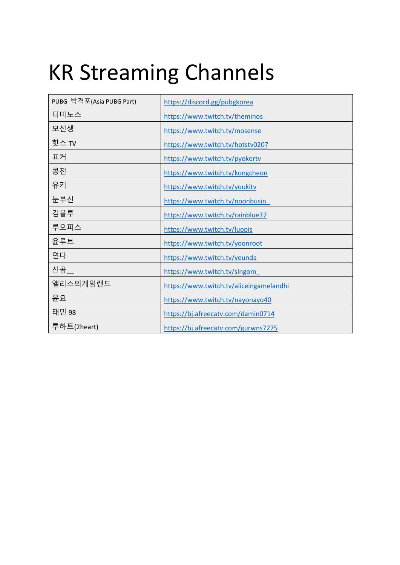## KR Streaming Channels

| PUBG 박격포(Asia PUBG Part) | https://discord.gg/pubgkorea            |
|--------------------------|-----------------------------------------|
| 더미노스                     | https://www.twitch.tv/theminos          |
| 모선생                      | https://www.twitch.tv/mosense           |
| 핫스 TV                    | https://www.twitch.tv/hotstv0207        |
| 표커                       | https://www.twitch.tv/pyokertv          |
| 콩천                       | https://www.twitch.tv/kongcheon         |
| 유키                       | https://www.twitch.tv/youkitv           |
| 눈부신                      | https://www.twitch.tv/noonbusin         |
| 김블루                      | https://www.twitch.tv/rainblue37        |
| 루오피스                     | https://www.twitch.tv/luopis            |
| 윤루트                      | https://www.twitch.tv/yoonroot          |
| 연다                       | https://www.twitch.tv/yeunda            |
| 신곰                       | https://www.twitch.tv/singom            |
| 앨리스의게임랜드                 | https://www.twitch.tv/aliceingamelandhi |
| 윤요                       | https://www.twitch.tv/nayonayo40        |
| 태민 98                    | https://bj.afreecatv.com/damin0714      |
| 투하트(2heart)              | https://bj.afreecatv.com/gurwns7275     |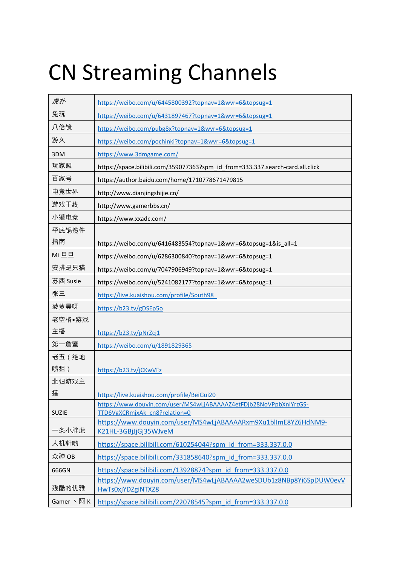# CN Streaming Channels

| 虎扑               | https://weibo.com/u/6445800392?topnav=1&wvr=6&topsug=1                                             |
|------------------|----------------------------------------------------------------------------------------------------|
| 兔玩               | https://weibo.com/u/6431897467?topnav=1&wvr=6&topsug=1                                             |
| 八倍镜              | https://weibo.com/pubg8x?topnav=1&wvr=6&topsug=1                                                   |
| 游久               | https://weibo.com/pochinki?topnav=1&wvr=6&topsug=1                                                 |
| 3DM              | https://www.3dmgame.com/                                                                           |
| 玩家盟              | https://space.bilibili.com/359077363?spm id from=333.337.search-card.all.click                     |
| 百家号              | https://author.baidu.com/home/1710778671479815                                                     |
| 电竞世界             | http://www.dianjingshijie.cn/                                                                      |
| 游戏干线             | http://www.gamerbbs.cn/                                                                            |
| 小獾电竞             | https://www.xxadc.com/                                                                             |
| 平底锅揽件            |                                                                                                    |
| 指南               | https://weibo.com/u/6416483554?topnav=1&wvr=6&topsug=1&is_all=1                                    |
| Mi 旦旦            | https://weibo.com/u/6286300840?topnav=1&wvr=6&topsug=1                                             |
| 安排是只猫            | https://weibo.com/u/7047906949?topnav=1&wvr=6&topsug=1                                             |
| 苏西 Susie         | https://weibo.com/u/5241082177?topnav=1&wvr=6&topsug=1                                             |
| 张三               | https://live.kuaishou.com/profile/South98                                                          |
| 菠萝昊呀             | https://b23.tv/gDSEp5o                                                                             |
| 老空格•游戏           |                                                                                                    |
| 主播               | https://b23.tv/pNrZcj1                                                                             |
| 第一詹蜜             | https://weibo.com/u/1891829365                                                                     |
| 老五 (绝地           |                                                                                                    |
| 喷狙)              | https://b23.tv/jCKwVFz                                                                             |
| 北归游戏主            |                                                                                                    |
| 播                | https://live.kuaishou.com/profile/BeiGui20                                                         |
| <b>SUZIE</b>     | https://www.douyin.com/user/MS4wLjABAAAAZ4etFDjb28NoVPpbXnIYrzGS-<br>TTD6VgXCRmjxAk cn8?relation=0 |
|                  | https://www.douyin.com/user/MS4wLjABAAAARxm9Xu1blImE8YZ6HdNM9-                                     |
| 一条小胖虎            | K21HL-3GBjJjGj35WJveM                                                                              |
| 人机轩哟             | https://space.bilibili.com/610254044?spm_id_from=333.337.0.0                                       |
| 众神 OB            | https://space.bilibili.com/331858640?spm id from=333.337.0.0                                       |
| 666GN            | https://space.bilibili.com/13928874?spm id from=333.337.0.0                                        |
| 残酷的优雅            | https://www.douyin.com/user/MS4wLjABAAAA2weSDUb1z8NBp8Yi6SpDUW0evV<br>HwTs0xjYDZgiNTXZ8            |
| Gamer $\vee$ 阿 K | https://space.bilibili.com/22078545?spm id from=333.337.0.0                                        |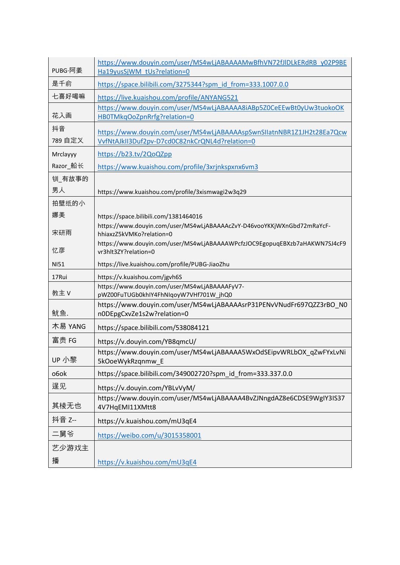| PUBG·阿姜       | https://www.douyin.com/user/MS4wLjABAAAAMwBfhVN72fJIDLkERdRB_y02P9BE<br>Ha19yusSjWM tUs?relation=0                      |
|---------------|-------------------------------------------------------------------------------------------------------------------------|
| 是千俞           | https://space.bilibili.com/3275344?spm_id_from=333.1007.0.0                                                             |
| 七喜好喝嘛         | https://live.kuaishou.com/profile/ANYANG521                                                                             |
| 花入画           | https://www.douyin.com/user/MS4wLjABAAAA8iABp5Z0CeEEwBt0yUw3tuokoOK<br>HB0TMkqOoZpnRrfg?relation=0                      |
| 抖音<br>789 自定义 | https://www.douyin.com/user/MS4wLjABAAAAspSwnSIIatnNBR1Z1JH2t28Ea7Qcw<br>VvfNtAJkII3Duf2pv-D7cd0C82nkCrQNL4d?relation=0 |
| Mrclayyy      | https://b23.tv/2QoQZpp                                                                                                  |
| Razor_船长      | https://www.kuaishou.com/profile/3xrjnkspxnx6vm3                                                                        |
| 钏_有故事的        |                                                                                                                         |
| 男人            | https://www.kuaishou.com/profile/3xismwagi2w3q29                                                                        |
| 拍壁纸的小         |                                                                                                                         |
| 娜美            | https://space.bilibili.com/1381464016                                                                                   |
| 宋研雨           | https://www.douyin.com/user/MS4wLjABAAAAcZvY-D46vooYKKjWXnGbd72mRaYcF-<br>hhiaxzZ5kVMKo?relation=0                      |
| 忆彦            | https://www.douyin.com/user/MS4wLjABAAAAWPcfzJOC9EgopuqEBXzb7aHAKWN7SJ4cF9<br>vr3hlt3ZY?relation=0                      |
| <b>NI51</b>   | https://live.kuaishou.com/profile/PUBG-JiaoZhu                                                                          |
| 17Rui         | https://v.kuaishou.com/jgvh6S                                                                                           |
| 教主 V          | https://www.douyin.com/user/MS4wLjABAAAAFyV7-<br>pWZ00FuTUGb0khIY4FhNIqoyW7VHf701W_jhQ0                                 |
| 鱿鱼.           | https://www.douyin.com/user/MS4wLjABAAAAsrP31PENvVNudFr697QZZ3rBO N0<br>n0DEpgCxvZe1s2w?relation=0                      |
| 木易 YANG       | https://space.bilibili.com/538084121                                                                                    |
| 富贵 FG         | https://v.douyin.com/YB8qmcU/                                                                                           |
| UP 小黎         | https://www.douyin.com/user/MS4wLjABAAAA5WxOdSEipvWRLbOX_qZwFYxLvNi<br>5kOoeWykRzqnmw_E                                 |
| o6ok          | https://space.bilibili.com/349002720?spm_id_from=333.337.0.0                                                            |
| 逞见            | https://v.douyin.com/YBLvVyM/                                                                                           |
| 其棱无也          | https://www.douyin.com/user/MS4wLjABAAAA4BvZJNngdAZ8e6CDSE9WglY3IS37<br>4V7HqEMI11XMtt8                                 |
| 抖音 Z--        | https://v.kuaishou.com/mU3qE4                                                                                           |
| 二舅爷           | https://weibo.com/u/3015358001                                                                                          |
| 艺少游戏主         |                                                                                                                         |
| 播             | https://v.kuaishou.com/mU3qE4                                                                                           |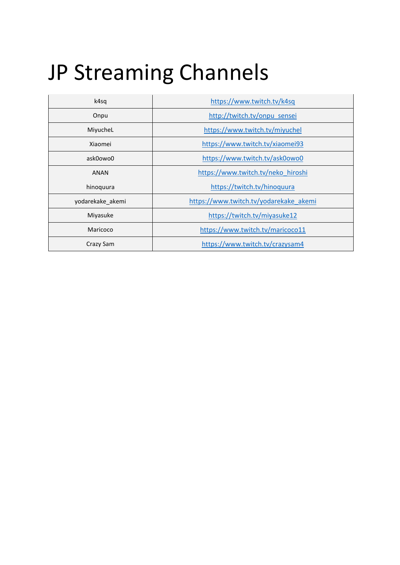### JP Streaming Channels

| k4sq             | https://www.twitch.tv/k4sq             |
|------------------|----------------------------------------|
| Onpu             | http://twitch.tv/onpu sensei           |
| MiyucheL         | https://www.twitch.tv/miyuchel         |
| Xiaomei          | https://www.twitch.tv/xiaomei93        |
| ask0owo0         | https://www.twitch.tv/ask0owo0         |
| <b>ANAN</b>      | https://www.twitch.tv/neko hiroshi     |
| hinoquura        | https://twitch.tv/hinoquura            |
| yodarekake akemi | https://www.twitch.tv/yodarekake akemi |
| Miyasuke         | https://twitch.tv/miyasuke12           |
| Maricoco         | https://www.twitch.tv/maricoco11       |
| Crazy Sam        | https://www.twitch.tv/crazysam4        |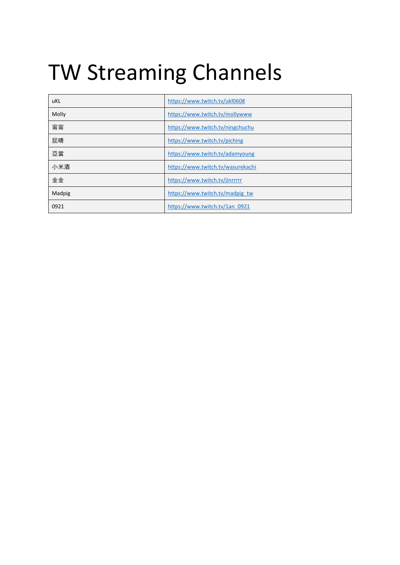## TW Streaming Channels

| uKL    | https://www.twitch.tv/ukl0608     |
|--------|-----------------------------------|
| Molly  | https://www.twitch.tv/mollywww    |
| 甯甯     | https://www.twitch.tv/ningchuchu  |
| 屁睛     | https://www.twitch.tv/piching     |
| 亞當     | https://www.twitch.tv/adamyoung   |
| 小米酒    | https://www.twitch.tv/wasurekachi |
| 金金     | https://www.twitch.tv/jinrrrrr    |
| Madpig | https://www.twitch.tv/madpig_tw   |
| 0921   | https://www.twitch.tv/1an 0921    |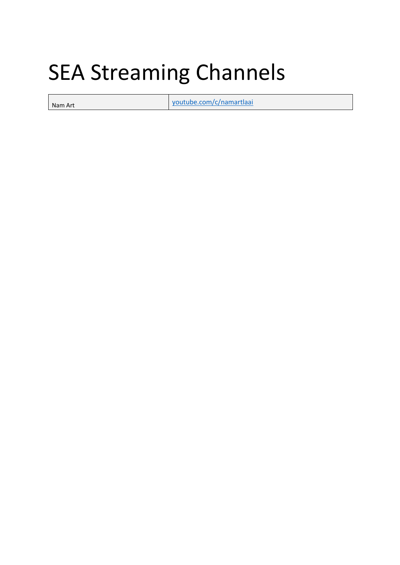#### SEA Streaming Channels

Nam Art youtube.com/c/namartlaai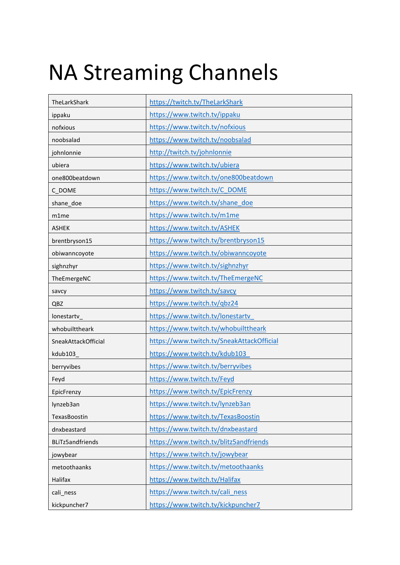### NA Streaming Channels

| TheLarkShark            | https://twitch.tv/TheLarkShark            |
|-------------------------|-------------------------------------------|
| ippaku                  | https://www.twitch.tv/ippaku              |
| nofxious                | https://www.twitch.tv/nofxious            |
| noobsalad               | https://www.twitch.tv/noobsalad           |
| johnlonnie              | http://twitch.tv/johnlonnie               |
| ubiera                  | https://www.twitch.tv/ubiera              |
| one800beatdown          | https://www.twitch.tv/one800beatdown      |
| C_DOME                  | https://www.twitch.tv/C_DOME              |
| shane_doe               | https://www.twitch.tv/shane_doe           |
| m1me                    | https://www.twitch.tv/m1me                |
| <b>ASHEK</b>            | https://www.twitch.tv/ASHEK               |
| brentbryson15           | https://www.twitch.tv/brentbryson15       |
| obiwanncoyote           | https://www.twitch.tv/obiwanncoyote       |
| sighnzhyr               | https://www.twitch.tv/sighnzhyr           |
| TheEmergeNC             | https://www.twitch.tv/TheEmergeNC         |
| savcy                   | https://www.twitch.tv/savcy               |
| QBZ                     | https://www.twitch.tv/qbz24               |
| lonestartv_             | https://www.twitch.tv/lonestartv          |
| whobuilttheark          | https://www.twitch.tv/whobuilttheark      |
| SneakAttackOfficial     | https://www.twitch.tv/SneakAttackOfficial |
| kdub103                 | https://www.twitch.tv/kdub103             |
| berryvibes              | https://www.twitch.tv/berryvibes          |
| Feyd                    | https://www.twitch.tv/Feyd                |
| EpicFrenzy              | https://www.twitch.tv/EpicFrenzy          |
| lynzeb3an               | https://www.twitch.tv/lynzeb3an           |
| TexasBoostin            | https://www.twitch.tv/TexasBoostin        |
| dnxbeastard             | https://www.twitch.tv/dnxbeastard         |
| <b>BLiTz5andfriends</b> | https://www.twitch.tv/blitz5andfriends    |
| jowybear                | https://www.twitch.tv/jowybear            |
| metoothaanks            | https://www.twitch.tv/metoothaanks        |
| Halifax                 | https://www.twitch.tv/Halifax             |
| cali_ness               | https://www.twitch.tv/cali ness           |
| kickpuncher7            | https://www.twitch.tv/kickpuncher7        |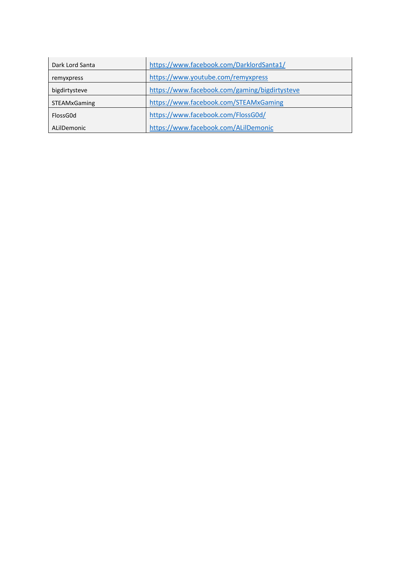| Dark Lord Santa | https://www.facebook.com/DarklordSanta1/      |
|-----------------|-----------------------------------------------|
| remyxpress      | https://www.youtube.com/remyxpress            |
| bigdirtysteve   | https://www.facebook.com/gaming/bigdirtysteve |
| STEAMxGaming    | https://www.facebook.com/STEAMxGaming         |
| FlossG0d        | https://www.facebook.com/FlossG0d/            |
| ALilDemonic     | https://www.facebook.com/ALilDemonic          |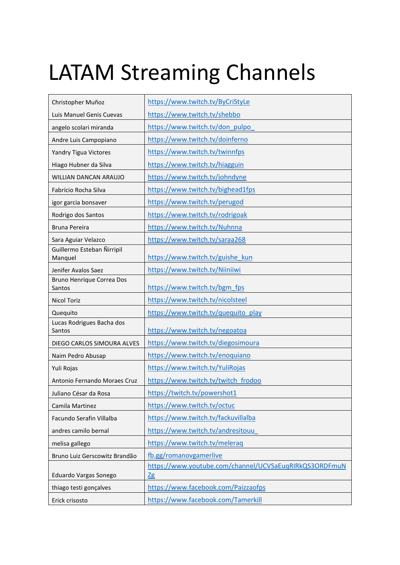## LATAM Streaming Channels

| Christopher Muñoz                     | https://www.twitch.tv/ByCriStyLe                             |
|---------------------------------------|--------------------------------------------------------------|
| Luis Manuel Genis Cuevas              | https://www.twitch.tv/shebbo                                 |
| angelo scolari miranda                | https://www.twitch.tv/don_pulpo                              |
| Andre Luis Campopiano                 | https://www.twitch.tv/doinferno                              |
| Yandry Tigua Victores                 | https://www.twitch.tv/twinnfps                               |
| Hiago Hubner da Silva                 | https://www.twitch.tv/hiagguin                               |
| WILLIAN DANCAN ARAUJO                 | https://www.twitch.tv/johndyne                               |
| Fabrício Rocha Silva                  | https://www.twitch.tv/bighead1fps                            |
| igor garcia bonsaver                  | https://www.twitch.tv/perugod                                |
| Rodrigo dos Santos                    | https://www.twitch.tv/rodrigoak                              |
| <b>Bruna Pereira</b>                  | https://www.twitch.tv/Nuhnna                                 |
| Sara Aguiar Velazco                   | https://www.twitch.tv/saraa268                               |
| Guillermo Esteban Ñirripil<br>Manquel | https://www.twitch.tv/guishe kun                             |
| Jenifer Avalos Saez                   | https://www.twitch.tv/Niiniiwi                               |
| Bruno Henrique Correa Dos<br>Santos   | https://www.twitch.tv/bgm_fps                                |
| <b>Nicol Toriz</b>                    | https://www.twitch.tv/nicolsteel                             |
| Quequito                              | https://www.twitch.tv/quequito_play                          |
| Lucas Rodrigues Bacha dos<br>Santos   | https://www.twitch.tv/negoatoa                               |
| DIEGO CARLOS SIMOURA ALVES            | https://www.twitch.tv/diegosimoura                           |
| Naim Pedro Abusap                     | https://www.twitch.tv/enoquiano                              |
| Yuli Rojas                            | https://www.twitch.tv/YuliRojas                              |
| Antonio Fernando Moraes Cruz          | https://www.twitch.tv/twitch_frodoo                          |
| Juliano César da Rosa                 | https://twitch.tv/powershot1                                 |
| Camila Martinez                       | https://www.twitch.tv/octuc                                  |
| Facundo Serafin Villalba              | https://www.twitch.tv/fackuvillalba                          |
| andres camilo bernal                  | https://www.twitch.tv/andresitouu                            |
| melisa gallego                        | https://www.twitch.tv/meleraq                                |
| Bruno Luiz Gerscowitz Brandão         | fb.gg/romanovgamerlive                                       |
| Eduardo Vargas Sonego                 | https://www.youtube.com/channel/UCVSaEuqRIRkQS3ORDFmuN<br>2g |
| thiago testi gonçalves                | https://www.facebook.com/Paizzaofps                          |
| Erick crisosto                        | https://www.facebook.com/Tamerkill                           |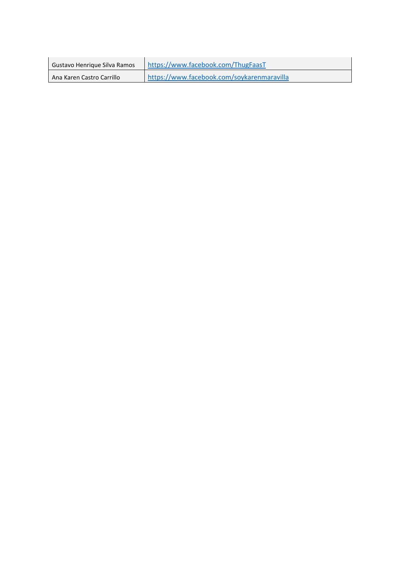| Gustavo Henrique Silva Ramos | https://www.facebook.com/ThugFaasT         |
|------------------------------|--------------------------------------------|
| Ana Karen Castro Carrillo    | https://www.facebook.com/soykarenmaravilla |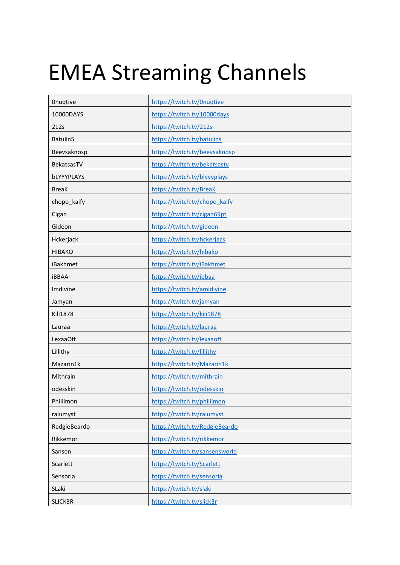### EMEA Streaming Channels

| Onugtive        | https://twitch.tv/0nuqtive     |
|-----------------|--------------------------------|
| 10000DAYS       | https://twitch.tv/10000days    |
| 212s            | https://twitch.tv/212s         |
| <b>BatulinS</b> | https://twitch.tv/batulins     |
| Beevsaknosp     | https://twitch.tv/beevsaknosp  |
| BekatsasTV      | https://twitch.tv/bekatsastv   |
| bLYYYPLAYS      | https://twitch.tv/blyyyplays   |
| <b>BreaK</b>    | https://twitch.tv/BreaK        |
| chopo_kaify     | https://twitch.tv/chopo kaify  |
| Cigan           | https://twitch.tv/cigan69pt    |
| Gideon          | https://twitch.tv/gideon       |
| Hckerjack       | https://twitch.tv/hckerjack    |
| <b>HIBAKO</b>   | https://twitch.tv/hibako       |
| iBakhmet        | https://twitch.tv/iBakhmet     |
| <b>iBBAA</b>    | https://twitch.tv/ibbaa        |
| Imdivine        | https://twitch.tv/amidivine    |
| Jamyan          | https://twitch.tv/jamyan       |
| <b>Kili1878</b> | https://twitch.tv/kili1878     |
| Lauraa          | https://twitch.tv/lauraa       |
| <b>LexaaOff</b> | https://twitch.tv/lexaaoff     |
| Lillithy        | https://twitch.tv/lillithy     |
| Mazarin1k       | https://twitch.tv/Mazarin1k    |
| Mithrain        | https://twitch.tv/mithrain     |
| odesskin        | https://twitch.tv/odesskin     |
| Philiimon       | https://twitch.tv/philiimon    |
| ralumyst        | https://twitch.tv/ralumyst     |
| RedgieBeardo    | https://twitch.tv/RedgieBeardo |
| Rikkemor        | https://twitch.tv/rikkemor     |
| Sansen          | https://twitch.tv/sansensworld |
| Scarlett        | https://twitch.tv/Scarlett     |
| Sensoria        | https://twitch.tv/sensoria     |
| SLaki           | https://twitch.tv/slaki        |
| SLICK3R         | https://twitch.tv/slick3r      |